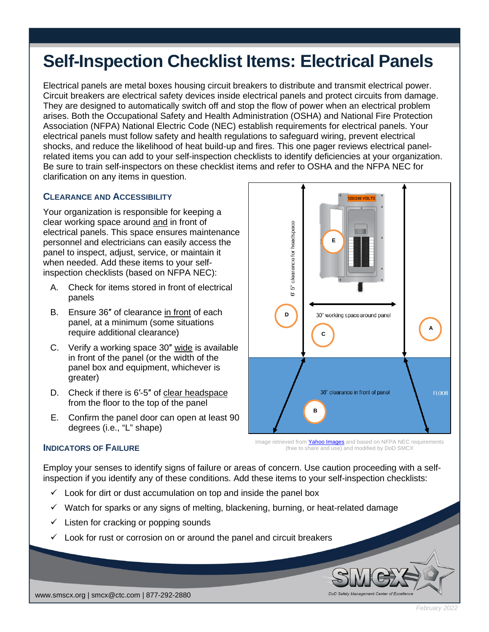# **Self-Inspection Checklist Items: Electrical Panels**

Electrical panels are metal boxes housing circuit breakers to distribute and transmit electrical power. Circuit breakers are electrical safety devices inside electrical panels and protect circuits from damage. They are designed to automatically switch off and stop the flow of power when an electrical problem arises. Both the Occupational Safety and Health Administration (OSHA) and National Fire Protection Association (NFPA) National Electric Code (NEC) establish requirements for electrical panels. Your electrical panels must follow safety and health regulations to safeguard wiring, prevent electrical shocks, and reduce the likelihood of heat build-up and fires. This one pager reviews electrical panelrelated items you can add to your self-inspection checklists to identify deficiencies at your organization. Be sure to train self-inspectors on these checklist items and refer to OSHA and the NFPA NEC for clarification on any items in question.

## **CLEARANCE AND ACCESSIBILITY**

Your organization is responsible for keeping a clear working space around and in front of electrical panels. This space ensures maintenance personnel and electricians can easily access the panel to inspect, adjust, service, or maintain it when needed. Add these items to your selfinspection checklists (based on NFPA NEC):

- A. Check for items stored in front of electrical panels
- B. Ensure 36″ of clearance in front of each panel, at a minimum (some situations require additional clearance)
- C. Verify a working space 30″ wide is available in front of the panel (or the width of the panel box and equipment, whichever is greater)
- D. Check if there is 6′-5″ of clear headspace from the floor to the top of the panel
- E. Confirm the panel door can open at least 90 degrees (i.e., "L" shape)



Image retrieved from **Yahoo [Images](https://1.bp.blogspot.com/-Myd881YkQrE/TrdWYYdKXOI/AAAAAAAAMX4/N34arGr7Lm8/s400/Surgeassure-breaker-panel-surge-protector.png)** and based on NFPA NEC requirements (free to share and use) and modified by DoD SMCX

DoD Safet

#### **INDICATORS OF FAILURE**

Employ your senses to identify signs of failure or areas of concern. Use caution proceeding with a selfinspection if you identify any of these conditions. Add these items to your self-inspection checklists:

- $\checkmark$  Look for dirt or dust accumulation on top and inside the panel box
- $\checkmark$  Watch for sparks or any signs of melting, blackening, burning, or heat-related damage
- $\checkmark$  Listen for cracking or popping sounds
- $\checkmark$  Look for rust or corrosion on or around the panel and circuit breakers

www.smscx.org | smcx@ctc.com | 877-292-2880

*February 2022*